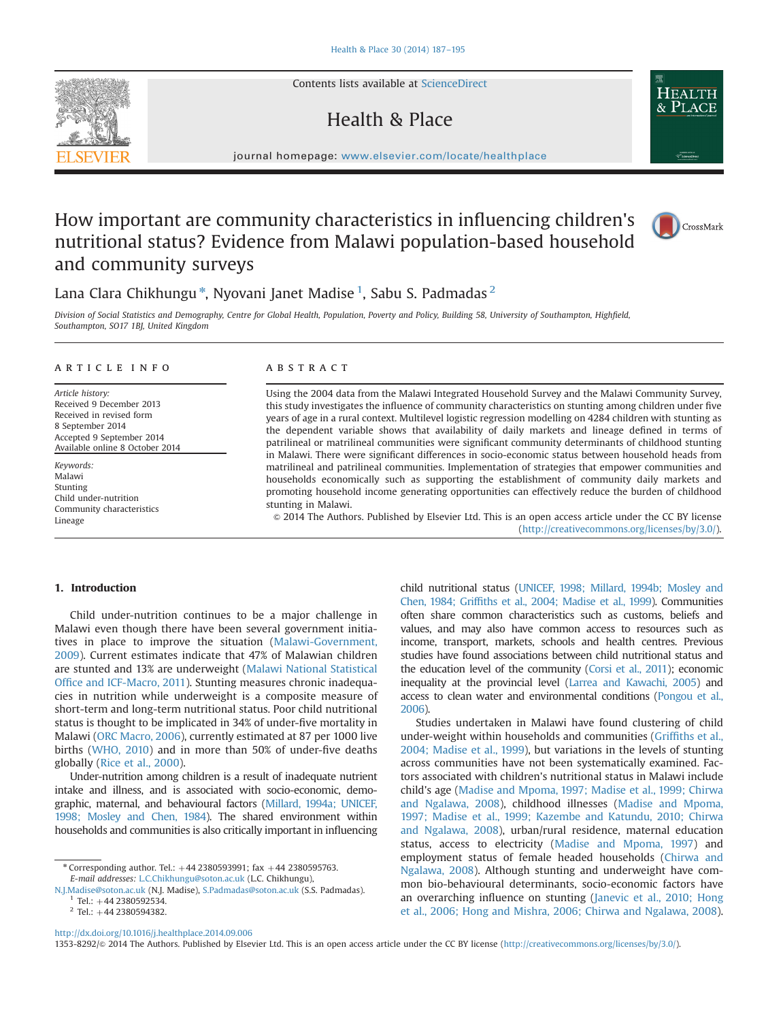Contents lists available at [ScienceDirect](www.sciencedirect.com/science/journal/13538292)

## Health & Place

journal homepage: <www.elsevier.com/locate/healthplace>/healthplace/healthplace/healthplace/healthplace/healthplace/healthplace/healthplace/healthplace/healthplace/healthplace/healthplace/healthplace/healthplace/healthplace

# How important are community characteristics in influencing children's nutritional status? Evidence from Malawi population-based household and community surveys



### Lana Clara Chikhungu  $^\ast$ , Nyovani Janet Madise <sup>1</sup>, Sabu S. Padmadas <sup>2</sup>

Division of Social Statistics and Demography, Centre for Global Health, Population, Poverty and Policy, Building 58, University of Southampton, Highfield, Southampton, SO17 1BJ, United Kingdom

#### article info

Article history: Received 9 December 2013 Received in revised form 8 September 2014 Accepted 9 September 2014 Available online 8 October 2014

Keywords: Malawi Stunting Child under-nutrition Community characteristics Lineage

#### **ABSTRACT**

Using the 2004 data from the Malawi Integrated Household Survey and the Malawi Community Survey, this study investigates the influence of community characteristics on stunting among children under five years of age in a rural context. Multilevel logistic regression modelling on 4284 children with stunting as the dependent variable shows that availability of daily markets and lineage defined in terms of patrilineal or matrilineal communities were significant community determinants of childhood stunting in Malawi. There were significant differences in socio-economic status between household heads from matrilineal and patrilineal communities. Implementation of strategies that empower communities and households economically such as supporting the establishment of community daily markets and promoting household income generating opportunities can effectively reduce the burden of childhood stunting in Malawi.

 $\odot$  2014 The Authors. Published by Elsevier Ltd. This is an open access article under the CC BY license (http://creativecommons.org/licenses/by/3.0/).

#### 1. Introduction

Child under-nutrition continues to be a major challenge in Malawi even though there have been several government initiatives in place to improve the situation [\(Malawi-Government,](#page-8-0) [2009\)](#page-8-0). Current estimates indicate that 47% of Malawian children are stunted and 13% are underweight ([Malawi National Statistical](#page-8-0) Offi[ce and ICF-Macro, 2011](#page-8-0)). Stunting measures chronic inadequacies in nutrition while underweight is a composite measure of short-term and long-term nutritional status. Poor child nutritional status is thought to be implicated in 34% of under-five mortality in Malawi ([ORC Macro, 2006](#page-8-0)), currently estimated at 87 per 1000 live births [\(WHO, 2010\)](#page-8-0) and in more than 50% of under-five deaths globally [\(Rice et al., 2000\)](#page-8-0).

Under-nutrition among children is a result of inadequate nutrient intake and illness, and is associated with socio-economic, demographic, maternal, and behavioural factors [\(Millard, 1994a; UNICEF,](#page-8-0) [1998; Mosley and Chen, 1984](#page-8-0)). The shared environment within households and communities is also critically important in influencing

\* Corresponding author. Tel.:  $+44$  2380593991; fax  $+44$  2380595763. E-mail addresses: [L.C.Chikhungu@soton.ac.uk](mailto:L.C.Chikhungu@soton.ac.uk) (L.C. Chikhungu),

<http://dx.doi.org/10.1016/j.healthplace.2014.09.006>

child nutritional status [\(UNICEF, 1998; Millard, 1994b; Mosley and](#page-8-0) Chen, 1984; Griffi[ths et al., 2004; Madise et al., 1999\)](#page-8-0). Communities often share common characteristics such as customs, beliefs and values, and may also have common access to resources such as income, transport, markets, schools and health centres. Previous studies have found associations between child nutritional status and the education level of the community [\(Corsi et al., 2011](#page-8-0)); economic inequality at the provincial level [\(Larrea and Kawachi, 2005\)](#page-8-0) and access to clean water and environmental conditions ([Pongou et al.,](#page-8-0) [2006\)](#page-8-0).

Studies undertaken in Malawi have found clustering of child under-weight within households and communities (Griffi[ths et al.,](#page-8-0) [2004; Madise et al., 1999\)](#page-8-0), but variations in the levels of stunting across communities have not been systematically examined. Factors associated with children's nutritional status in Malawi include child's age ([Madise and Mpoma, 1997; Madise et al., 1999; Chirwa](#page-8-0) [and Ngalawa, 2008\)](#page-8-0), childhood illnesses ([Madise and Mpoma,](#page-8-0) [1997; Madise et al., 1999; Kazembe and Katundu, 2010; Chirwa](#page-8-0) [and Ngalawa, 2008\)](#page-8-0), urban/rural residence, maternal education status, access to electricity [\(Madise and Mpoma, 1997](#page-8-0)) and employment status of female headed households ([Chirwa and](#page-8-0) [Ngalawa, 2008\)](#page-8-0). Although stunting and underweight have common bio-behavioural determinants, socio-economic factors have an overarching influence on stunting [\(Janevic et al., 2010; Hong](#page-8-0) [et al., 2006; Hong and Mishra, 2006; Chirwa and Ngalawa, 2008\)](#page-8-0).

1353-8292/& 2014 The Authors. Published by Elsevier Ltd. This is an open access article under the CC BY license (http://creativecommons.org/licenses/by/3.0/).



[N.J.Madise@soton.ac.uk](mailto:N.J.Madise@soton.ac.uk) (N.J. Madise), [S.Padmadas@soton.ac.uk](mailto:S.Padmadas@soton.ac.uk) (S.S. Padmadas). <sup>1</sup> Tel.:  $+44$  2380592534.<br><sup>2</sup> Tel.:  $+44$  2380594382.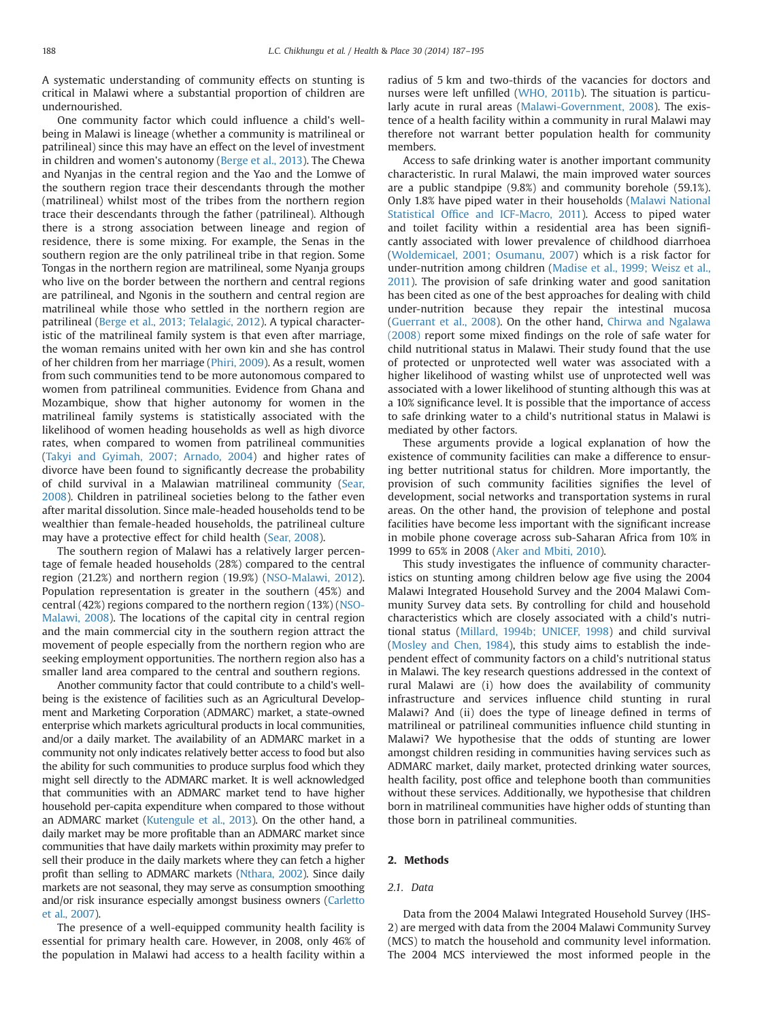A systematic understanding of community effects on stunting is critical in Malawi where a substantial proportion of children are undernourished.

One community factor which could influence a child's wellbeing in Malawi is lineage (whether a community is matrilineal or patrilineal) since this may have an effect on the level of investment in children and women's autonomy ([Berge et al., 2013](#page-8-0)). The Chewa and Nyanjas in the central region and the Yao and the Lomwe of the southern region trace their descendants through the mother (matrilineal) whilst most of the tribes from the northern region trace their descendants through the father (patrilineal). Although there is a strong association between lineage and region of residence, there is some mixing. For example, the Senas in the southern region are the only patrilineal tribe in that region. Some Tongas in the northern region are matrilineal, some Nyanja groups who live on the border between the northern and central regions are patrilineal, and Ngonis in the southern and central region are matrilineal while those who settled in the northern region are patrilineal ([Berge et al., 2013; Telalagi](#page-8-0)ć, 2012). A typical characteristic of the matrilineal family system is that even after marriage, the woman remains united with her own kin and she has control of her children from her marriage [\(Phiri, 2009](#page-8-0)). As a result, women from such communities tend to be more autonomous compared to women from patrilineal communities. Evidence from Ghana and Mozambique, show that higher autonomy for women in the matrilineal family systems is statistically associated with the likelihood of women heading households as well as high divorce rates, when compared to women from patrilineal communities ([Takyi and Gyimah, 2007; Arnado, 2004\)](#page-8-0) and higher rates of divorce have been found to significantly decrease the probability of child survival in a Malawian matrilineal community [\(Sear,](#page-8-0) [2008\)](#page-8-0). Children in patrilineal societies belong to the father even after marital dissolution. Since male-headed households tend to be wealthier than female-headed households, the patrilineal culture may have a protective effect for child health [\(Sear, 2008](#page-8-0)).

The southern region of Malawi has a relatively larger percentage of female headed households (28%) compared to the central region (21.2%) and northern region (19.9%) [\(NSO-Malawi, 2012\)](#page-8-0). Population representation is greater in the southern (45%) and central (42%) regions compared to the northern region (13%) [\(NSO-](#page-8-0)[Malawi, 2008](#page-8-0)). The locations of the capital city in central region and the main commercial city in the southern region attract the movement of people especially from the northern region who are seeking employment opportunities. The northern region also has a smaller land area compared to the central and southern regions.

Another community factor that could contribute to a child's wellbeing is the existence of facilities such as an Agricultural Development and Marketing Corporation (ADMARC) market, a state-owned enterprise which markets agricultural products in local communities, and/or a daily market. The availability of an ADMARC market in a community not only indicates relatively better access to food but also the ability for such communities to produce surplus food which they might sell directly to the ADMARC market. It is well acknowledged that communities with an ADMARC market tend to have higher household per-capita expenditure when compared to those without an ADMARC market [\(Kutengule et al., 2013\)](#page-8-0). On the other hand, a daily market may be more profitable than an ADMARC market since communities that have daily markets within proximity may prefer to sell their produce in the daily markets where they can fetch a higher profit than selling to ADMARC markets ([Nthara, 2002](#page-8-0)). Since daily markets are not seasonal, they may serve as consumption smoothing and/or risk insurance especially amongst business owners [\(Carletto](#page-8-0) [et al., 2007\)](#page-8-0).

The presence of a well-equipped community health facility is essential for primary health care. However, in 2008, only 46% of the population in Malawi had access to a health facility within a radius of 5 km and two-thirds of the vacancies for doctors and nurses were left unfilled [\(WHO, 2011b](#page-8-0)). The situation is particularly acute in rural areas [\(Malawi-Government, 2008\)](#page-8-0). The existence of a health facility within a community in rural Malawi may therefore not warrant better population health for community members.

Access to safe drinking water is another important community characteristic. In rural Malawi, the main improved water sources are a public standpipe (9.8%) and community borehole (59.1%). Only 1.8% have piped water in their households [\(Malawi National](#page-8-0) Statistical Offi[ce and ICF-Macro, 2011](#page-8-0)). Access to piped water and toilet facility within a residential area has been significantly associated with lower prevalence of childhood diarrhoea ([Woldemicael, 2001; Osumanu, 2007\)](#page-8-0) which is a risk factor for under-nutrition among children ([Madise et al., 1999; Weisz et al.,](#page-8-0) [2011\)](#page-8-0). The provision of safe drinking water and good sanitation has been cited as one of the best approaches for dealing with child under-nutrition because they repair the intestinal mucosa ([Guerrant et al., 2008\)](#page-8-0). On the other hand, [Chirwa and Ngalawa](#page-8-0) [\(2008\)](#page-8-0) report some mixed findings on the role of safe water for child nutritional status in Malawi. Their study found that the use of protected or unprotected well water was associated with a higher likelihood of wasting whilst use of unprotected well was associated with a lower likelihood of stunting although this was at a 10% significance level. It is possible that the importance of access to safe drinking water to a child's nutritional status in Malawi is mediated by other factors.

These arguments provide a logical explanation of how the existence of community facilities can make a difference to ensuring better nutritional status for children. More importantly, the provision of such community facilities signifies the level of development, social networks and transportation systems in rural areas. On the other hand, the provision of telephone and postal facilities have become less important with the significant increase in mobile phone coverage across sub-Saharan Africa from 10% in 1999 to 65% in 2008 [\(Aker and Mbiti, 2010\)](#page-8-0).

This study investigates the influence of community characteristics on stunting among children below age five using the 2004 Malawi Integrated Household Survey and the 2004 Malawi Community Survey data sets. By controlling for child and household characteristics which are closely associated with a child's nutritional status ([Millard, 1994b; UNICEF, 1998\)](#page-8-0) and child survival ([Mosley and Chen, 1984\)](#page-8-0), this study aims to establish the independent effect of community factors on a child's nutritional status in Malawi. The key research questions addressed in the context of rural Malawi are (i) how does the availability of community infrastructure and services influence child stunting in rural Malawi? And (ii) does the type of lineage defined in terms of matrilineal or patrilineal communities influence child stunting in Malawi? We hypothesise that the odds of stunting are lower amongst children residing in communities having services such as ADMARC market, daily market, protected drinking water sources, health facility, post office and telephone booth than communities without these services. Additionally, we hypothesise that children born in matrilineal communities have higher odds of stunting than those born in patrilineal communities.

#### 2. Methods

#### 2.1 Data

Data from the 2004 Malawi Integrated Household Survey (IHS-2) are merged with data from the 2004 Malawi Community Survey (MCS) to match the household and community level information. The 2004 MCS interviewed the most informed people in the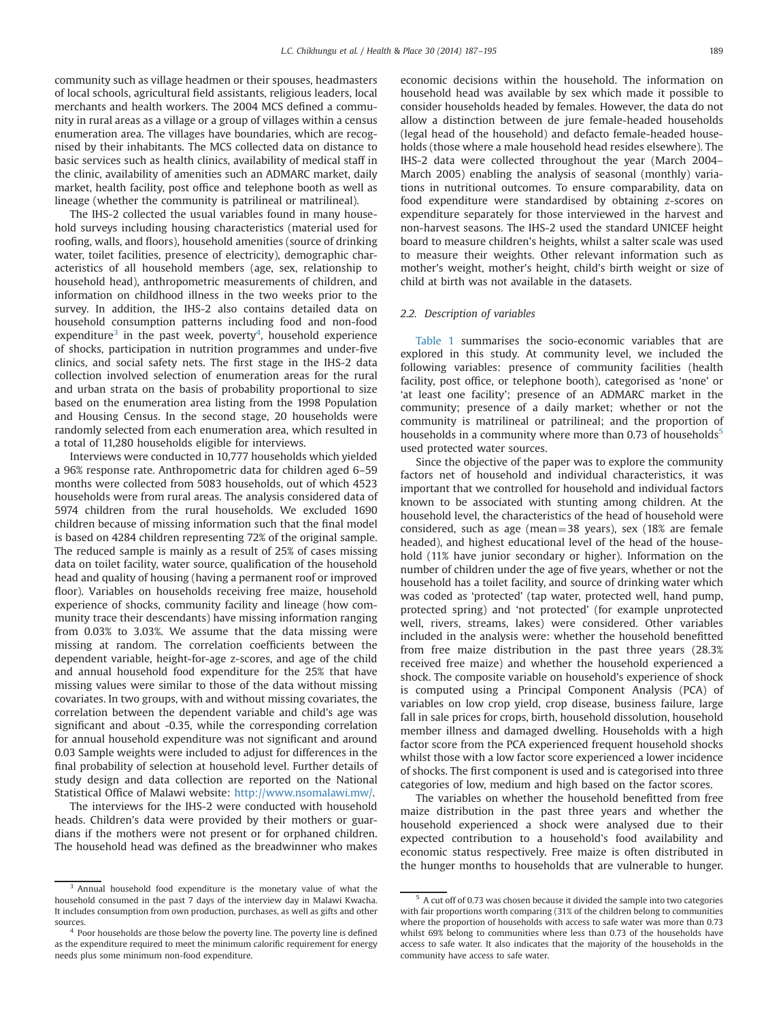community such as village headmen or their spouses, headmasters of local schools, agricultural field assistants, religious leaders, local merchants and health workers. The 2004 MCS defined a community in rural areas as a village or a group of villages within a census enumeration area. The villages have boundaries, which are recognised by their inhabitants. The MCS collected data on distance to basic services such as health clinics, availability of medical staff in the clinic, availability of amenities such an ADMARC market, daily market, health facility, post office and telephone booth as well as lineage (whether the community is patrilineal or matrilineal).

The IHS-2 collected the usual variables found in many household surveys including housing characteristics (material used for roofing, walls, and floors), household amenities (source of drinking water, toilet facilities, presence of electricity), demographic characteristics of all household members (age, sex, relationship to household head), anthropometric measurements of children, and information on childhood illness in the two weeks prior to the survey. In addition, the IHS-2 also contains detailed data on household consumption patterns including food and non-food expenditure $^3$  in the past week, poverty $^4$ , household experience of shocks, participation in nutrition programmes and under-five clinics, and social safety nets. The first stage in the IHS-2 data collection involved selection of enumeration areas for the rural and urban strata on the basis of probability proportional to size based on the enumeration area listing from the 1998 Population and Housing Census. In the second stage, 20 households were randomly selected from each enumeration area, which resulted in a total of 11,280 households eligible for interviews.

Interviews were conducted in 10,777 households which yielded a 96% response rate. Anthropometric data for children aged 6–59 months were collected from 5083 households, out of which 4523 households were from rural areas. The analysis considered data of 5974 children from the rural households. We excluded 1690 children because of missing information such that the final model is based on 4284 children representing 72% of the original sample. The reduced sample is mainly as a result of 25% of cases missing data on toilet facility, water source, qualification of the household head and quality of housing (having a permanent roof or improved floor). Variables on households receiving free maize, household experience of shocks, community facility and lineage (how community trace their descendants) have missing information ranging from 0.03% to 3.03%. We assume that the data missing were missing at random. The correlation coefficients between the dependent variable, height-for-age z-scores, and age of the child and annual household food expenditure for the 25% that have missing values were similar to those of the data without missing covariates. In two groups, with and without missing covariates, the correlation between the dependent variable and child's age was significant and about -0.35, while the corresponding correlation for annual household expenditure was not significant and around 0.03 Sample weights were included to adjust for differences in the final probability of selection at household level. Further details of study design and data collection are reported on the National Statistical Office of Malawi website: [http://www.nsomalawi.mw/.](http://www.nsomalawi.mw/)

The interviews for the IHS-2 were conducted with household heads. Children's data were provided by their mothers or guardians if the mothers were not present or for orphaned children. The household head was defined as the breadwinner who makes economic decisions within the household. The information on household head was available by sex which made it possible to consider households headed by females. However, the data do not allow a distinction between de jure female-headed households (legal head of the household) and defacto female-headed households (those where a male household head resides elsewhere). The IHS-2 data were collected throughout the year (March 2004– March 2005) enabling the analysis of seasonal (monthly) variations in nutritional outcomes. To ensure comparability, data on food expenditure were standardised by obtaining z-scores on expenditure separately for those interviewed in the harvest and non-harvest seasons. The IHS-2 used the standard UNICEF height board to measure children's heights, whilst a salter scale was used to measure their weights. Other relevant information such as mother's weight, mother's height, child's birth weight or size of child at birth was not available in the datasets.

#### 2.2. Description of variables

[Table 1](#page-3-0) summarises the socio-economic variables that are explored in this study. At community level, we included the following variables: presence of community facilities (health facility, post office, or telephone booth), categorised as 'none' or 'at least one facility'; presence of an ADMARC market in the community; presence of a daily market; whether or not the community is matrilineal or patrilineal; and the proportion of households in a community where more than 0.73 of households<sup>5</sup> used protected water sources.

Since the objective of the paper was to explore the community factors net of household and individual characteristics, it was important that we controlled for household and individual factors known to be associated with stunting among children. At the household level, the characteristics of the head of household were considered, such as age (mean=38 years), sex (18% are female headed), and highest educational level of the head of the household (11% have junior secondary or higher). Information on the number of children under the age of five years, whether or not the household has a toilet facility, and source of drinking water which was coded as 'protected' (tap water, protected well, hand pump, protected spring) and 'not protected' (for example unprotected well, rivers, streams, lakes) were considered. Other variables included in the analysis were: whether the household benefitted from free maize distribution in the past three years (28.3% received free maize) and whether the household experienced a shock. The composite variable on household's experience of shock is computed using a Principal Component Analysis (PCA) of variables on low crop yield, crop disease, business failure, large fall in sale prices for crops, birth, household dissolution, household member illness and damaged dwelling. Households with a high factor score from the PCA experienced frequent household shocks whilst those with a low factor score experienced a lower incidence of shocks. The first component is used and is categorised into three categories of low, medium and high based on the factor scores.

The variables on whether the household benefitted from free maize distribution in the past three years and whether the household experienced a shock were analysed due to their expected contribution to a household's food availability and economic status respectively. Free maize is often distributed in the hunger months to households that are vulnerable to hunger.

<sup>&</sup>lt;sup>3</sup> Annual household food expenditure is the monetary value of what the household consumed in the past 7 days of the interview day in Malawi Kwacha. It includes consumption from own production, purchases, as well as gifts and other sources.

 $4$  Poor households are those below the poverty line. The poverty line is defined as the expenditure required to meet the minimum calorific requirement for energy needs plus some minimum non-food expenditure.

 $5$  A cut off of 0.73 was chosen because it divided the sample into two categories with fair proportions worth comparing (31% of the children belong to communities where the proportion of households with access to safe water was more than 0.73 whilst 69% belong to communities where less than 0.73 of the households have access to safe water. It also indicates that the majority of the households in the community have access to safe water.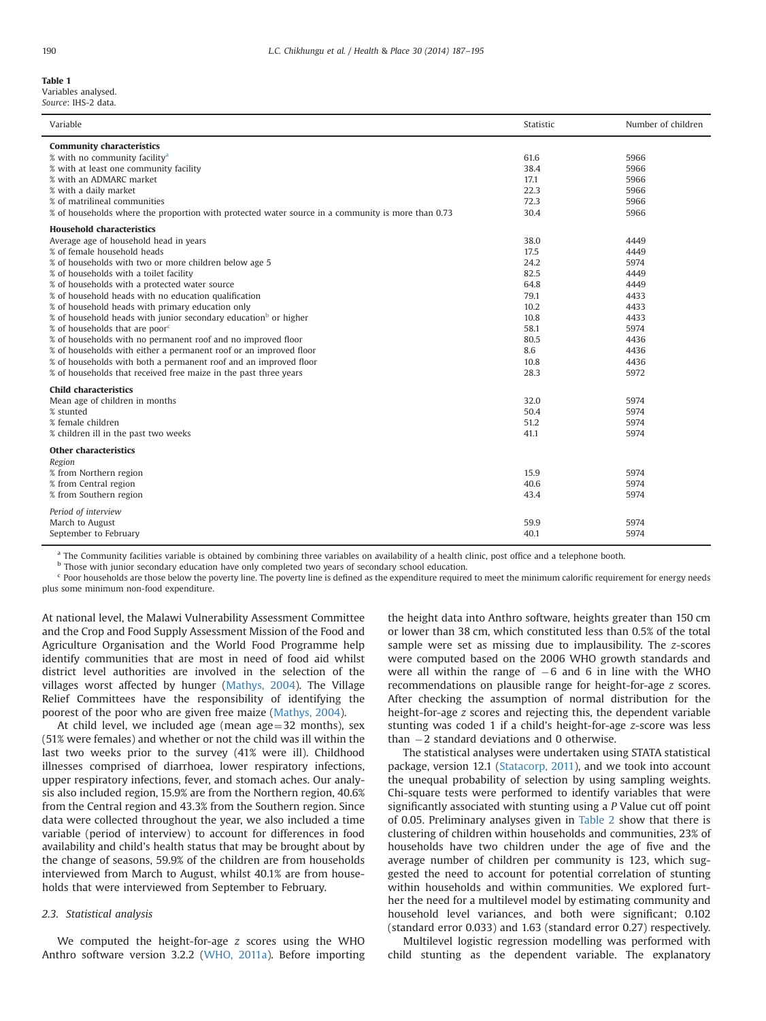#### <span id="page-3-0"></span>Table 1

Variables analysed. Source: IHS-2 data.

| Variable                                                                                          | Statistic | Number of children |
|---------------------------------------------------------------------------------------------------|-----------|--------------------|
| <b>Community characteristics</b>                                                                  |           |                    |
| % with no community facility <sup>a</sup>                                                         | 61.6      | 5966               |
| % with at least one community facility                                                            | 38.4      | 5966               |
| % with an ADMARC market                                                                           | 17.1      | 5966               |
| % with a daily market                                                                             | 22.3      | 5966               |
| % of matrilineal communities                                                                      | 72.3      | 5966               |
| % of households where the proportion with protected water source in a community is more than 0.73 | 30.4      | 5966               |
| <b>Household characteristics</b>                                                                  |           |                    |
| Average age of household head in years                                                            | 38.0      | 4449               |
| % of female household heads                                                                       | 17.5      | 4449               |
| % of households with two or more children below age 5                                             | 24.2      | 5974               |
| % of households with a toilet facility                                                            | 82.5      | 4449               |
| % of households with a protected water source                                                     | 64.8      | 4449               |
| % of household heads with no education qualification                                              | 79.1      | 4433               |
| % of household heads with primary education only                                                  | 10.2      | 4433               |
| % of household heads with junior secondary education <sup>b</sup> or higher                       | 10.8      | 4433               |
| % of households that are poor <sup>c</sup>                                                        | 58.1      | 5974               |
| % of households with no permanent roof and no improved floor                                      | 80.5      | 4436               |
| % of households with either a permanent roof or an improved floor                                 | 8.6       | 4436               |
| % of households with both a permanent roof and an improved floor                                  | 10.8      | 4436               |
| % of households that received free maize in the past three years                                  | 28.3      | 5972               |
| <b>Child characteristics</b>                                                                      |           |                    |
| Mean age of children in months                                                                    | 32.0      | 5974               |
| % stunted                                                                                         | 50.4      | 5974               |
| % female children                                                                                 | 51.2      | 5974               |
| % children ill in the past two weeks                                                              | 41.1      | 5974               |
| <b>Other characteristics</b>                                                                      |           |                    |
| Region                                                                                            |           |                    |
| % from Northern region                                                                            | 15.9      | 5974               |
| % from Central region                                                                             | 40.6      | 5974               |
| % from Southern region                                                                            | 43.4      | 5974               |
| Period of interview                                                                               |           |                    |
| March to August                                                                                   | 59.9      | 5974               |
| September to February                                                                             | 40.1      | 5974               |

The Community facilities variable is obtained by combining three variables on availability of a health clinic, post office and a telephone booth.

**b** Those with junior secondary education have only completed two years of secondary school education.

<sup>c</sup> Poor households are those below the poverty line. The poverty line is defined as the expenditure required to meet the minimum calorific requirement for energy needs plus some minimum non-food expenditure.

At national level, the Malawi Vulnerability Assessment Committee and the Crop and Food Supply Assessment Mission of the Food and Agriculture Organisation and the World Food Programme help identify communities that are most in need of food aid whilst district level authorities are involved in the selection of the villages worst affected by hunger ([Mathys, 2004\)](#page-8-0). The Village Relief Committees have the responsibility of identifying the poorest of the poor who are given free maize ([Mathys, 2004\)](#page-8-0).

At child level, we included age (mean  $age = 32$  months), sex (51% were females) and whether or not the child was ill within the last two weeks prior to the survey (41% were ill). Childhood illnesses comprised of diarrhoea, lower respiratory infections, upper respiratory infections, fever, and stomach aches. Our analysis also included region, 15.9% are from the Northern region, 40.6% from the Central region and 43.3% from the Southern region. Since data were collected throughout the year, we also included a time variable (period of interview) to account for differences in food availability and child's health status that may be brought about by the change of seasons, 59.9% of the children are from households interviewed from March to August, whilst 40.1% are from households that were interviewed from September to February.

#### 2.3. Statistical analysis

We computed the height-for-age z scores using the WHO Anthro software version 3.2.2 ([WHO, 2011a\)](#page-8-0). Before importing the height data into Anthro software, heights greater than 150 cm or lower than 38 cm, which constituted less than 0.5% of the total sample were set as missing due to implausibility. The z-scores were computed based on the 2006 WHO growth standards and were all within the range of  $-6$  and 6 in line with the WHO recommendations on plausible range for height-for-age z scores. After checking the assumption of normal distribution for the height-for-age z scores and rejecting this, the dependent variable stunting was coded 1 if a child's height-for-age z-score was less than -2 standard deviations and 0 otherwise.

The statistical analyses were undertaken using STATA statistical package, version 12.1 ([Statacorp, 2011\)](#page-8-0), and we took into account the unequal probability of selection by using sampling weights. Chi-square tests were performed to identify variables that were significantly associated with stunting using a P Value cut off point of 0.05. Preliminary analyses given in [Table 2](#page-4-0) show that there is clustering of children within households and communities, 23% of households have two children under the age of five and the average number of children per community is 123, which suggested the need to account for potential correlation of stunting within households and within communities. We explored further the need for a multilevel model by estimating community and household level variances, and both were significant; 0.102 (standard error 0.033) and 1.63 (standard error 0.27) respectively.

Multilevel logistic regression modelling was performed with child stunting as the dependent variable. The explanatory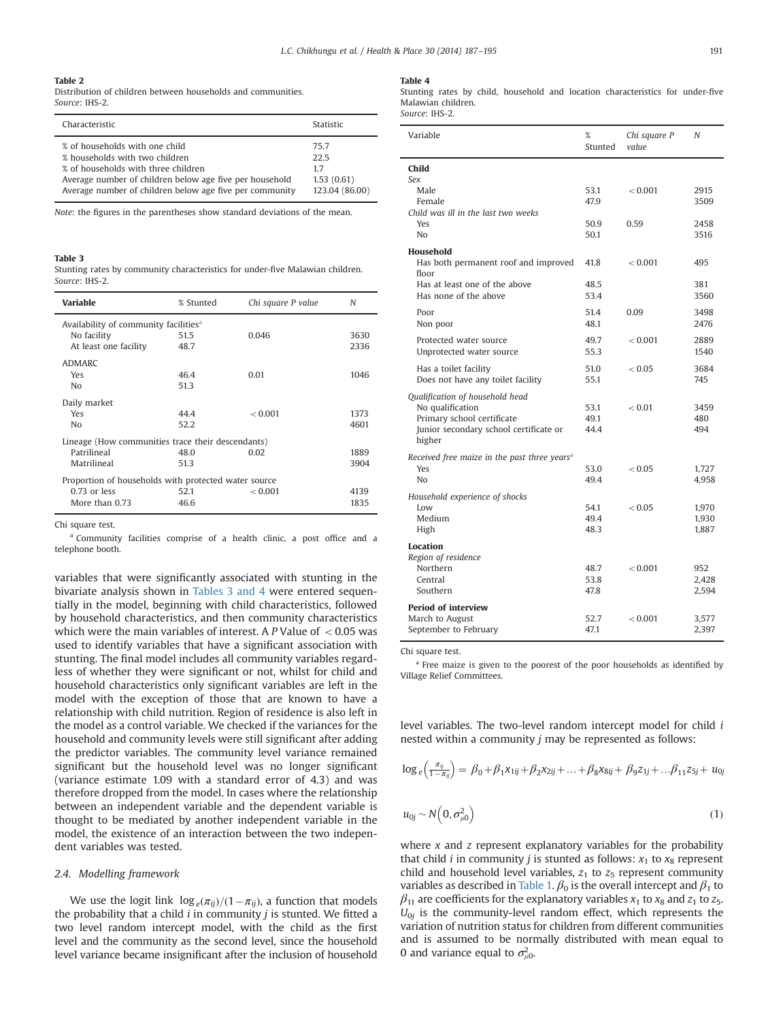#### <span id="page-4-0"></span>Table 2

Distribution of children between households and communities. Source: IHS-2

| Characteristic                                                                                                                                                                                                                | <b>Statistic</b>                                    |
|-------------------------------------------------------------------------------------------------------------------------------------------------------------------------------------------------------------------------------|-----------------------------------------------------|
| % of households with one child<br>% households with two children<br>% of households with three children<br>Average number of children below age five per household<br>Average number of children below age five per community | 75.7<br>22.5<br>1.7<br>1.53(0.61)<br>123.04 (86.00) |

Note: the figures in the parentheses show standard deviations of the mean.

#### Table 3

Stunting rates by community characteristics for under-five Malawian children. Source: IHS-2.

| Variable                                             | % Stunted | Chi square P value | N    |  |
|------------------------------------------------------|-----------|--------------------|------|--|
| Availability of community facilities <sup>a</sup>    |           |                    |      |  |
| No facility                                          | 51.5      | 0.046              | 3630 |  |
| At least one facility                                | 48.7      |                    | 2336 |  |
| <b>ADMARC</b>                                        |           |                    |      |  |
| Yes                                                  | 46.4      | 0.01               | 1046 |  |
| N <sub>0</sub>                                       | 51.3      |                    |      |  |
| Daily market                                         |           |                    |      |  |
| Yes                                                  | 44.4      | < 0.001            | 1373 |  |
| N <sub>0</sub>                                       | 52.2      |                    | 4601 |  |
| Lineage (How communities trace their descendants)    |           |                    |      |  |
| Patrilineal                                          | 48.0      | 0.02               | 1889 |  |
| Matrilineal                                          | 51.3      |                    | 3904 |  |
| Proportion of households with protected water source |           |                    |      |  |
| $0.73$ or less                                       | 52.1      | < 0.001            | 4139 |  |
| More than 0.73                                       | 46.6      |                    | 1835 |  |

Chi square test.

<sup>a</sup> Community facilities comprise of a health clinic, a post office and a telephone booth.

variables that were significantly associated with stunting in the bivariate analysis shown in Tables 3 and 4 were entered sequentially in the model, beginning with child characteristics, followed by household characteristics, and then community characteristics which were the main variables of interest. A P Value of  $< 0.05$  was used to identify variables that have a significant association with stunting. The final model includes all community variables regardless of whether they were significant or not, whilst for child and household characteristics only significant variables are left in the model with the exception of those that are known to have a relationship with child nutrition. Region of residence is also left in the model as a control variable. We checked if the variances for the household and community levels were still significant after adding the predictor variables. The community level variance remained significant but the household level was no longer significant (variance estimate 1.09 with a standard error of 4.3) and was therefore dropped from the model. In cases where the relationship between an independent variable and the dependent variable is thought to be mediated by another independent variable in the model, the existence of an interaction between the two independent variables was tested.

#### 2.4. Modelling framework

We use the logit link  $\log_e(\pi_{ij})/(1-\pi_{ij})$ , a function that models the probability that a child  $i$  in community  $j$  is stunted. We fitted a two level random intercept model, with the child as the first level and the community as the second level, since the household level variance became insignificant after the inclusion of household

#### Table 4

Stunting rates by child, household and location characteristics for under-five Malawian children.

Source: IHS-2.

| Variable                                                 | %<br>Stunted | Chi square P<br>value | Ν     |
|----------------------------------------------------------|--------------|-----------------------|-------|
| Child                                                    |              |                       |       |
| Sex                                                      |              |                       |       |
| Male                                                     | 53.1         | < 0.001               | 2915  |
| Female                                                   | 47.9         |                       | 3509  |
| Child was ill in the last two weeks                      |              |                       |       |
| Yes                                                      | 50.9         | 0.59                  | 2458  |
| N <sub>0</sub>                                           | 50.1         |                       | 3516  |
| Household                                                |              |                       |       |
| Has both permanent roof and improved<br>floor            | 41.8         | < 0.001               | 495   |
| Has at least one of the above                            | 48.5         |                       | 381   |
| Has none of the above                                    | 53.4         |                       | 3560  |
| Poor                                                     | 51.4         | 0.09                  | 3498  |
| Non poor                                                 | 48.1         |                       | 2476  |
|                                                          |              |                       |       |
| Protected water source                                   | 49.7         | < 0.001               | 2889  |
| Unprotected water source                                 | 55.3         |                       | 1540  |
| Has a toilet facility                                    | 51.0         | < 0.05                | 3684  |
| Does not have any toilet facility                        | 55.1         |                       | 745   |
| Qualification of household head                          |              |                       |       |
| No qualification                                         | 53.1         | < 0.01                | 3459  |
| Primary school certificate                               | 49.1         |                       | 480   |
| Junior secondary school certificate or                   | 44.4         |                       | 494   |
| higher                                                   |              |                       |       |
| Received free maize in the past three years <sup>a</sup> |              |                       |       |
| Yes                                                      | 53.0         | < 0.05                | 1,727 |
| N <sub>0</sub>                                           | 49.4         |                       | 4,958 |
|                                                          |              |                       |       |
| Household experience of shocks                           |              |                       |       |
| Low                                                      | 54.1         | < 0.05                | 1,970 |
| Medium                                                   | 49.4         |                       | 1,930 |
| High                                                     | 48.3         |                       | 1,887 |
| Location                                                 |              |                       |       |
| Region of residence                                      |              |                       |       |
| Northern                                                 | 48.7         | < 0.001               | 952   |
| Central                                                  | 53.8         |                       | 2,428 |
| Southern                                                 | 47.8         |                       | 2,594 |
| <b>Period of interview</b>                               |              |                       |       |
| March to August                                          | 52.7         | < 0.001               | 3,577 |
| September to February                                    | 47.1         |                       | 2,397 |

Chi square test.

<sup>a</sup> Free maize is given to the poorest of the poor households as identified by Village Relief Committees.

level variables. The two-level random intercept model for child i nested within a community j may be represented as follows:

$$
\log_e\left(\frac{\pi_{ij}}{1-\pi_{ij}}\right) = \beta_0 + \beta_1 x_{1ij} + \beta_2 x_{2ij} + \dots + \beta_8 x_{8ij} + \beta_9 z_{1j} + \dots + \beta_{11} z_{5j} + u_{0j}
$$
  

$$
u_{0j} \sim N\left(0, \sigma_{\mu 0}^2\right)
$$
 (1)

where  $x$  and  $z$  represent explanatory variables for the probability that child *i* in community *j* is stunted as follows:  $x_1$  to  $x_8$  represent child and household level variables,  $z_1$  to  $z_5$  represent community variables as described in [Table 1.](#page-3-0)  $\beta_0$  is the overall intercept and  $\beta_1$  to  $\beta_{11}$  are coefficients for the explanatory variables  $x_1$  to  $x_8$  and  $z_1$  to  $z_5$ .  $U_{0i}$  is the community-level random effect, which represents the variation of nutrition status for children from different communities and is assumed to be normally distributed with mean equal to 0 and variance equal to  $\sigma_{\mu 0}^2$ .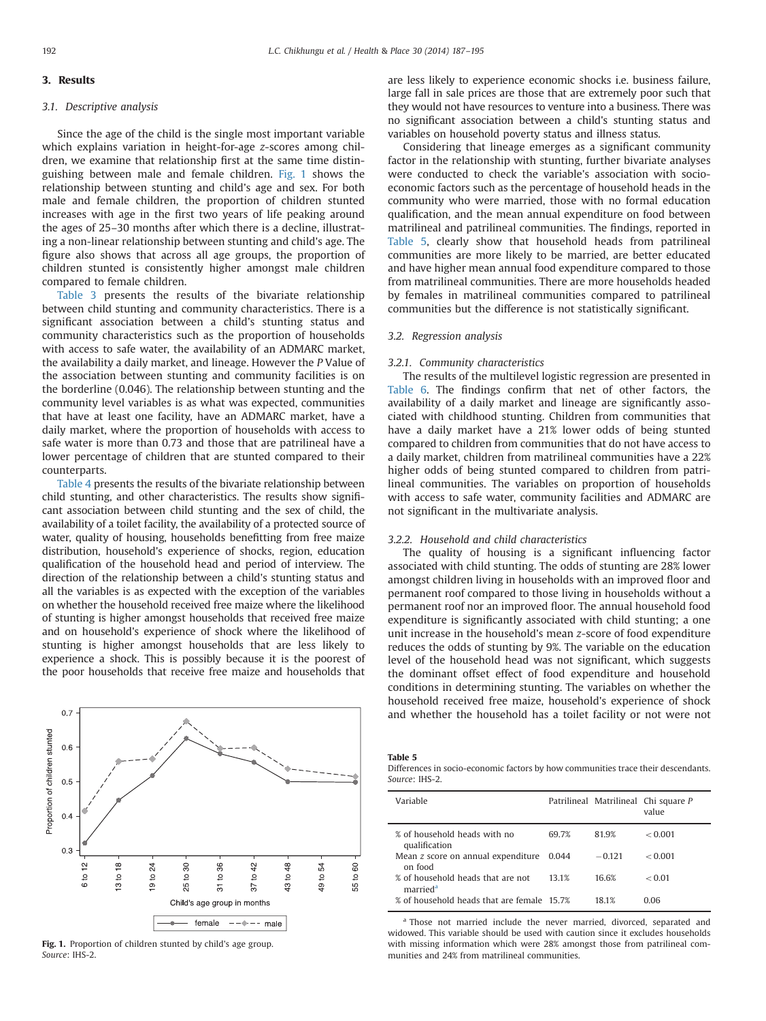#### 3. Results

#### 3.1. Descriptive analysis

Since the age of the child is the single most important variable which explains variation in height-for-age z-scores among children, we examine that relationship first at the same time distinguishing between male and female children. Fig. 1 shows the relationship between stunting and child's age and sex. For both male and female children, the proportion of children stunted increases with age in the first two years of life peaking around the ages of 25–30 months after which there is a decline, illustrating a non-linear relationship between stunting and child's age. The figure also shows that across all age groups, the proportion of children stunted is consistently higher amongst male children compared to female children.

[Table 3](#page-4-0) presents the results of the bivariate relationship between child stunting and community characteristics. There is a significant association between a child's stunting status and community characteristics such as the proportion of households with access to safe water, the availability of an ADMARC market, the availability a daily market, and lineage. However the P Value of the association between stunting and community facilities is on the borderline (0.046). The relationship between stunting and the community level variables is as what was expected, communities that have at least one facility, have an ADMARC market, have a daily market, where the proportion of households with access to safe water is more than 0.73 and those that are patrilineal have a lower percentage of children that are stunted compared to their counterparts.

[Table 4](#page-4-0) presents the results of the bivariate relationship between child stunting, and other characteristics. The results show significant association between child stunting and the sex of child, the availability of a toilet facility, the availability of a protected source of water, quality of housing, households benefitting from free maize distribution, household's experience of shocks, region, education qualification of the household head and period of interview. The direction of the relationship between a child's stunting status and all the variables is as expected with the exception of the variables on whether the household received free maize where the likelihood of stunting is higher amongst households that received free maize and on household's experience of shock where the likelihood of stunting is higher amongst households that are less likely to experience a shock. This is possibly because it is the poorest of the poor households that receive free maize and households that



Fig. 1. Proportion of children stunted by child's age group. Source: IHS-2.

are less likely to experience economic shocks i.e. business failure, large fall in sale prices are those that are extremely poor such that they would not have resources to venture into a business. There was no significant association between a child's stunting status and variables on household poverty status and illness status.

Considering that lineage emerges as a significant community factor in the relationship with stunting, further bivariate analyses were conducted to check the variable's association with socioeconomic factors such as the percentage of household heads in the community who were married, those with no formal education qualification, and the mean annual expenditure on food between matrilineal and patrilineal communities. The findings, reported in Table 5, clearly show that household heads from patrilineal communities are more likely to be married, are better educated and have higher mean annual food expenditure compared to those from matrilineal communities. There are more households headed by females in matrilineal communities compared to patrilineal communities but the difference is not statistically significant.

#### 3.2. Regression analysis

#### 3.2.1. Community characteristics

The results of the multilevel logistic regression are presented in [Table 6.](#page-6-0) The findings confirm that net of other factors, the availability of a daily market and lineage are significantly associated with childhood stunting. Children from communities that have a daily market have a 21% lower odds of being stunted compared to children from communities that do not have access to a daily market, children from matrilineal communities have a 22% higher odds of being stunted compared to children from patrilineal communities. The variables on proportion of households with access to safe water, community facilities and ADMARC are not significant in the multivariate analysis.

#### 3.2.2. Household and child characteristics

The quality of housing is a significant influencing factor associated with child stunting. The odds of stunting are 28% lower amongst children living in households with an improved floor and permanent roof compared to those living in households without a permanent roof nor an improved floor. The annual household food expenditure is significantly associated with child stunting; a one unit increase in the household's mean z-score of food expenditure reduces the odds of stunting by 9%. The variable on the education level of the household head was not significant, which suggests the dominant offset effect of food expenditure and household conditions in determining stunting. The variables on whether the household received free maize, household's experience of shock and whether the household has a toilet facility or not were not

| ۰.<br>$\sim$<br>---- |  |
|----------------------|--|
|----------------------|--|

Differences in socio-economic factors by how communities trace their descendants. Source: IHS-2.

| Variable                                                  |       |          | Patrilineal Matrilineal Chi square P<br>value |
|-----------------------------------------------------------|-------|----------|-----------------------------------------------|
| % of household heads with no<br>qualification             | 69.7% | 819%     | < 0.001                                       |
| Mean z score on annual expenditure 0.044<br>on food       |       | $-0.121$ | < 0.001                                       |
| % of household heads that are not<br>married <sup>a</sup> | 131%  | 16.6%    | < 0.01                                        |
| % of household heads that are female 15.7%                |       | 181%     | 0.06                                          |

a Those not married include the never married, divorced, separated and widowed. This variable should be used with caution since it excludes households with missing information which were 28% amongst those from patrilineal communities and 24% from matrilineal communities.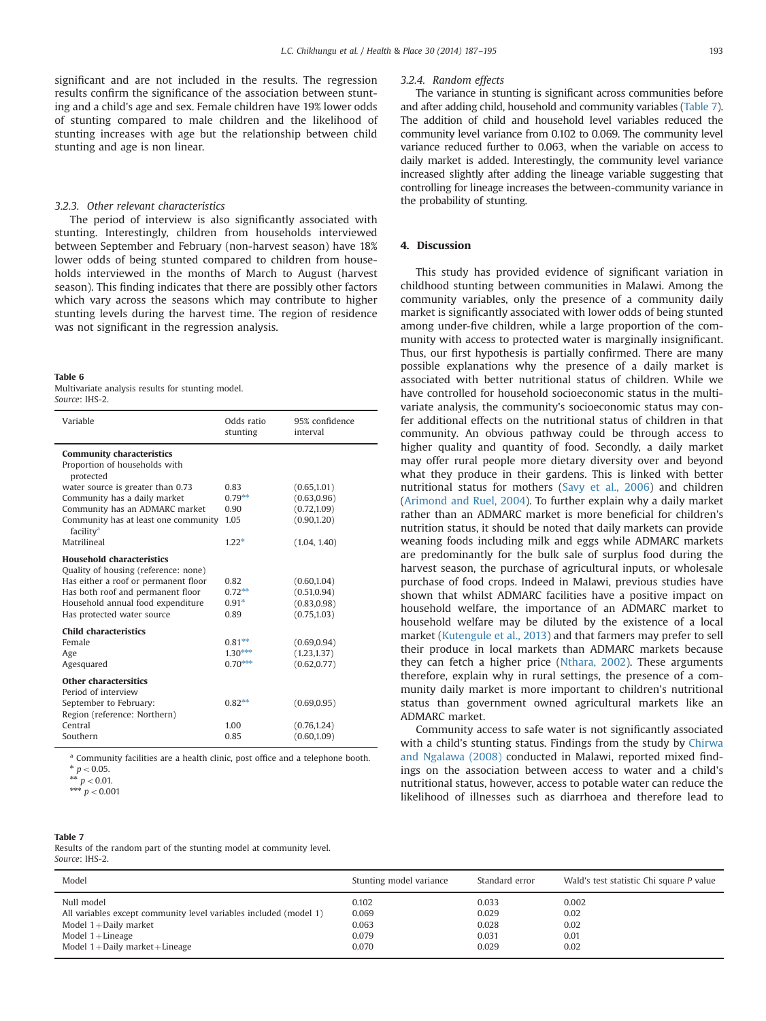<span id="page-6-0"></span>significant and are not included in the results. The regression results confirm the significance of the association between stunting and a child's age and sex. Female children have 19% lower odds of stunting compared to male children and the likelihood of stunting increases with age but the relationship between child stunting and age is non linear.

#### 3.2.3. Other relevant characteristics

The period of interview is also significantly associated with stunting. Interestingly, children from households interviewed between September and February (non-harvest season) have 18% lower odds of being stunted compared to children from households interviewed in the months of March to August (harvest season). This finding indicates that there are possibly other factors which vary across the seasons which may contribute to higher stunting levels during the harvest time. The region of residence was not significant in the regression analysis.

#### Table 6

Multivariate analysis results for stunting model. Source: IHS-2.

| Variable                                                                                                                                                                                                                 | Odds ratio<br>stunting               | 95% confidence<br>interval                                   |
|--------------------------------------------------------------------------------------------------------------------------------------------------------------------------------------------------------------------------|--------------------------------------|--------------------------------------------------------------|
| <b>Community characteristics</b><br>Proportion of households with<br>protected                                                                                                                                           |                                      |                                                              |
| water source is greater than 0.73                                                                                                                                                                                        | 0.83                                 | (0.65, 1.01)                                                 |
| Community has a daily market                                                                                                                                                                                             | $0.79***$                            | (0.63, 0.96)                                                 |
| Community has an ADMARC market                                                                                                                                                                                           | 0.90                                 | (0.72, 1.09)                                                 |
| Community has at least one community<br>facility <sup>a</sup>                                                                                                                                                            | 1.05                                 | (0.90, 1.20)                                                 |
| Matrilineal                                                                                                                                                                                                              | $1.22*$                              | (1.04, 1.40)                                                 |
| <b>Household characteristics</b><br>Quality of housing (reference: none)<br>Has either a roof or permanent floor<br>Has both roof and permanent floor<br>Household annual food expenditure<br>Has protected water source | 0.82<br>$0.72***$<br>$0.91*$<br>0.89 | (0.60, 1.04)<br>(0.51, 0.94)<br>(0.83, 0.98)<br>(0.75, 1.03) |
|                                                                                                                                                                                                                          |                                      |                                                              |
| <b>Child characteristics</b><br>Female<br>Age<br>Agesquared                                                                                                                                                              | $0.81**$<br>$1.30***$<br>$0.70***$   | (0.69, 0.94)<br>(1.23, 1.37)<br>(0.62, 0.77)                 |
| Other charactersitics<br>Period of interview                                                                                                                                                                             |                                      |                                                              |
| September to February:<br>Region (reference: Northern)                                                                                                                                                                   | $0.82**$                             | (0.69, 0.95)                                                 |
| Central                                                                                                                                                                                                                  | 1.00                                 | (0.76, 1.24)                                                 |
| Southern                                                                                                                                                                                                                 | 0.85                                 | (0.60, 1.09)                                                 |
|                                                                                                                                                                                                                          |                                      |                                                              |

<sup>a</sup> Community facilities are a health clinic, post office and a telephone booth. \*  $p < 0.05$ .

\*\*\*  $p < 0.001$ 

### Table 7

Results of the random part of the stunting model at community level. Source: IHS-2.

## and after adding child, household and community variables (Table 7). The addition of child and household level variables reduced the

community level variance from 0.102 to 0.069. The community level variance reduced further to 0.063, when the variable on access to daily market is added. Interestingly, the community level variance increased slightly after adding the lineage variable suggesting that controlling for lineage increases the between-community variance in the probability of stunting.

The variance in stunting is significant across communities before

### 4. Discussion

3.2.4. Random effects

This study has provided evidence of significant variation in childhood stunting between communities in Malawi. Among the community variables, only the presence of a community daily market is significantly associated with lower odds of being stunted among under-five children, while a large proportion of the community with access to protected water is marginally insignificant. Thus, our first hypothesis is partially confirmed. There are many possible explanations why the presence of a daily market is associated with better nutritional status of children. While we have controlled for household socioeconomic status in the multivariate analysis, the community's socioeconomic status may confer additional effects on the nutritional status of children in that community. An obvious pathway could be through access to higher quality and quantity of food. Secondly, a daily market may offer rural people more dietary diversity over and beyond what they produce in their gardens. This is linked with better nutritional status for mothers ([Savy et al., 2006](#page-8-0)) and children ([Arimond and Ruel, 2004\)](#page-8-0). To further explain why a daily market rather than an ADMARC market is more beneficial for children's nutrition status, it should be noted that daily markets can provide weaning foods including milk and eggs while ADMARC markets are predominantly for the bulk sale of surplus food during the harvest season, the purchase of agricultural inputs, or wholesale purchase of food crops. Indeed in Malawi, previous studies have shown that whilst ADMARC facilities have a positive impact on household welfare, the importance of an ADMARC market to household welfare may be diluted by the existence of a local market ([Kutengule et al., 2013](#page-8-0)) and that farmers may prefer to sell their produce in local markets than ADMARC markets because they can fetch a higher price ([Nthara, 2002\)](#page-8-0). These arguments therefore, explain why in rural settings, the presence of a community daily market is more important to children's nutritional status than government owned agricultural markets like an ADMARC market.

Community access to safe water is not significantly associated with a child's stunting status. Findings from the study by [Chirwa](#page-8-0) [and Ngalawa \(2008\)](#page-8-0) conducted in Malawi, reported mixed findings on the association between access to water and a child's nutritional status, however, access to potable water can reduce the likelihood of illnesses such as diarrhoea and therefore lead to

| Model                                                             | Stunting model variance | Standard error | Wald's test statistic Chi square P value |
|-------------------------------------------------------------------|-------------------------|----------------|------------------------------------------|
| Null model                                                        | 0.102                   | 0.033          | 0.002                                    |
| All variables except community level variables included (model 1) | 0.069                   | 0.029          | 0.02                                     |
| Model $1+$ Daily market                                           | 0.063                   | 0.028          | 0.02                                     |
| Model $1+$ Lineage                                                | 0.079                   | 0.031          | 0.01                                     |
| Model $1+$ Daily market + Lineage                                 | 0.070                   | 0.029          | 0.02                                     |

 $p < 0.01$ .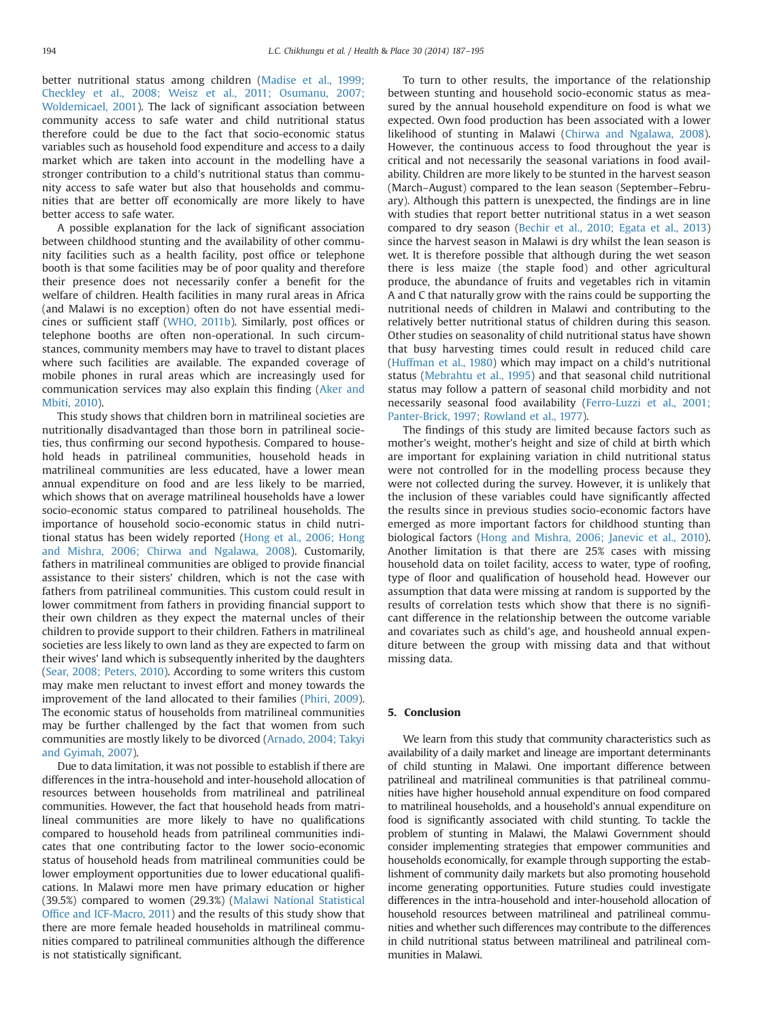better nutritional status among children [\(Madise et al., 1999;](#page-8-0) [Checkley et al., 2008; Weisz et al., 2011; Osumanu, 2007;](#page-8-0) [Woldemicael, 2001\)](#page-8-0). The lack of significant association between community access to safe water and child nutritional status therefore could be due to the fact that socio-economic status variables such as household food expenditure and access to a daily market which are taken into account in the modelling have a stronger contribution to a child's nutritional status than community access to safe water but also that households and communities that are better off economically are more likely to have better access to safe water.

A possible explanation for the lack of significant association between childhood stunting and the availability of other community facilities such as a health facility, post office or telephone booth is that some facilities may be of poor quality and therefore their presence does not necessarily confer a benefit for the welfare of children. Health facilities in many rural areas in Africa (and Malawi is no exception) often do not have essential medicines or sufficient staff [\(WHO, 2011b](#page-8-0)). Similarly, post offices or telephone booths are often non-operational. In such circumstances, community members may have to travel to distant places where such facilities are available. The expanded coverage of mobile phones in rural areas which are increasingly used for communication services may also explain this finding ([Aker and](#page-8-0) [Mbiti, 2010\)](#page-8-0).

This study shows that children born in matrilineal societies are nutritionally disadvantaged than those born in patrilineal societies, thus confirming our second hypothesis. Compared to household heads in patrilineal communities, household heads in matrilineal communities are less educated, have a lower mean annual expenditure on food and are less likely to be married, which shows that on average matrilineal households have a lower socio-economic status compared to patrilineal households. The importance of household socio-economic status in child nutritional status has been widely reported ([Hong et al., 2006; Hong](#page-8-0) [and Mishra, 2006; Chirwa and Ngalawa, 2008](#page-8-0)). Customarily, fathers in matrilineal communities are obliged to provide financial assistance to their sisters' children, which is not the case with fathers from patrilineal communities. This custom could result in lower commitment from fathers in providing financial support to their own children as they expect the maternal uncles of their children to provide support to their children. Fathers in matrilineal societies are less likely to own land as they are expected to farm on their wives' land which is subsequently inherited by the daughters ([Sear, 2008; Peters, 2010](#page-8-0)). According to some writers this custom may make men reluctant to invest effort and money towards the improvement of the land allocated to their families ([Phiri, 2009\)](#page-8-0). The economic status of households from matrilineal communities may be further challenged by the fact that women from such communities are mostly likely to be divorced ([Arnado, 2004; Takyi](#page-8-0) [and Gyimah, 2007](#page-8-0)).

Due to data limitation, it was not possible to establish if there are differences in the intra-household and inter-household allocation of resources between households from matrilineal and patrilineal communities. However, the fact that household heads from matrilineal communities are more likely to have no qualifications compared to household heads from patrilineal communities indicates that one contributing factor to the lower socio-economic status of household heads from matrilineal communities could be lower employment opportunities due to lower educational qualifications. In Malawi more men have primary education or higher (39.5%) compared to women (29.3%) ([Malawi National Statistical](#page-8-0) Offi[ce and ICF-Macro, 2011](#page-8-0)) and the results of this study show that there are more female headed households in matrilineal communities compared to patrilineal communities although the difference is not statistically significant.

To turn to other results, the importance of the relationship between stunting and household socio-economic status as measured by the annual household expenditure on food is what we expected. Own food production has been associated with a lower likelihood of stunting in Malawi ([Chirwa and Ngalawa, 2008\)](#page-8-0). However, the continuous access to food throughout the year is critical and not necessarily the seasonal variations in food availability. Children are more likely to be stunted in the harvest season (March–August) compared to the lean season (September–February). Although this pattern is unexpected, the findings are in line with studies that report better nutritional status in a wet season compared to dry season ([Bechir et al., 2010; Egata et al., 2013\)](#page-8-0) since the harvest season in Malawi is dry whilst the lean season is wet. It is therefore possible that although during the wet season there is less maize (the staple food) and other agricultural produce, the abundance of fruits and vegetables rich in vitamin A and C that naturally grow with the rains could be supporting the nutritional needs of children in Malawi and contributing to the relatively better nutritional status of children during this season. Other studies on seasonality of child nutritional status have shown that busy harvesting times could result in reduced child care ([Huffman et al., 1980](#page-8-0)) which may impact on a child's nutritional status [\(Mebrahtu et al., 1995\)](#page-8-0) and that seasonal child nutritional status may follow a pattern of seasonal child morbidity and not necessarily seasonal food availability ([Ferro-Luzzi et al., 2001;](#page-8-0) [Panter-Brick, 1997; Rowland et al., 1977](#page-8-0)).

The findings of this study are limited because factors such as mother's weight, mother's height and size of child at birth which are important for explaining variation in child nutritional status were not controlled for in the modelling process because they were not collected during the survey. However, it is unlikely that the inclusion of these variables could have significantly affected the results since in previous studies socio-economic factors have emerged as more important factors for childhood stunting than biological factors ([Hong and Mishra, 2006; Janevic et al., 2010\)](#page-8-0). Another limitation is that there are 25% cases with missing household data on toilet facility, access to water, type of roofing, type of floor and qualification of household head. However our assumption that data were missing at random is supported by the results of correlation tests which show that there is no significant difference in the relationship between the outcome variable and covariates such as child's age, and housheold annual expenditure between the group with missing data and that without missing data.

#### 5. Conclusion

We learn from this study that community characteristics such as availability of a daily market and lineage are important determinants of child stunting in Malawi. One important difference between patrilineal and matrilineal communities is that patrilineal communities have higher household annual expenditure on food compared to matrilineal households, and a household's annual expenditure on food is significantly associated with child stunting. To tackle the problem of stunting in Malawi, the Malawi Government should consider implementing strategies that empower communities and households economically, for example through supporting the establishment of community daily markets but also promoting household income generating opportunities. Future studies could investigate differences in the intra-household and inter-household allocation of household resources between matrilineal and patrilineal communities and whether such differences may contribute to the differences in child nutritional status between matrilineal and patrilineal communities in Malawi.